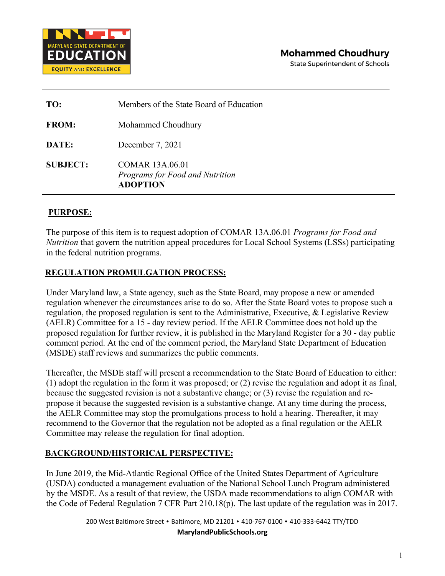

**State Superintendent of Schools** 

| TO:             | Members of the State Board of Education                                      |
|-----------------|------------------------------------------------------------------------------|
| <b>FROM:</b>    | Mohammed Choudhury                                                           |
| DATE:           | December 7, 2021                                                             |
| <b>SUBJECT:</b> | <b>COMAR 13A.06.01</b><br>Programs for Food and Nutrition<br><b>ADOPTION</b> |

## **PURPOSE:**

The purpose of this item is to request adoption of COMAR 13A.06.01 *Programs for Food and Nutrition* that govern the nutrition appeal procedures for Local School Systems (LSSs) participating in the federal nutrition programs.

## **REGULATION PROMULGATION PROCESS:**

Under Maryland law, a State agency, such as the State Board, may propose a new or amended regulation whenever the circumstances arise to do so. After the State Board votes to propose such a regulation, the proposed regulation is sent to the Administrative, Executive, & Legislative Review (AELR) Committee for a 15 - day review period. If the AELR Committee does not hold up the proposed regulation for further review, it is published in the Maryland Register for a 30 - day public comment period. At the end of the comment period, the Maryland State Department of Education (MSDE) staff reviews and summarizes the public comments.

Thereafter, the MSDE staff will present a recommendation to the State Board of Education to either: (1) adopt the regulation in the form it was proposed; or (2) revise the regulation and adopt it as final, because the suggested revision is not a substantive change; or (3) revise the regulation and repropose it because the suggested revision is a substantive change. At any time during the process, the AELR Committee may stop the promulgations process to hold a hearing. Thereafter, it may recommend to the Governor that the regulation not be adopted as a final regulation or the AELR Committee may release the regulation for final adoption.

## **BACKGROUND/HISTORICAL PERSPECTIVE:**

In June 2019, the Mid-Atlantic Regional Office of the United States Department of Agriculture (USDA) conducted a management evaluation of the National School Lunch Program administered by the MSDE. As a result of that review, the USDA made recommendations to align COMAR with the Code of Federal Regulation 7 CFR Part 210.18(p). The last update of the regulation was in 2017.

> 200 West Baltimore Street • Baltimore, MD 21201 • 410-767-0100 • 410-333-6442 TTY/TDD **[MarylandPublicSchools.org](https://marylandpublicschools.org/)**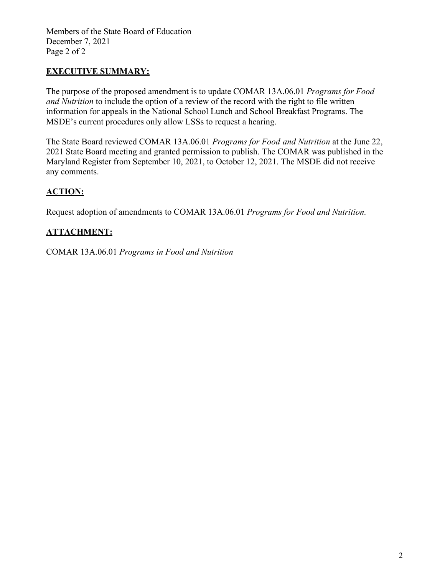Members of the State Board of Education December 7, 2021 Page 2 of 2

## **EXECUTIVE SUMMARY:**

The purpose of the proposed amendment is to update COMAR [13A.06.01](https://13a.06.01/) *Programs for Food and Nutrition* to include the option of a review of the record with the right to file written information for appeals in the National School Lunch and School Breakfast Programs. The MSDE's current procedures only allow LSSs to request a hearing.

The State Board reviewed COMAR [13A.06.01](https://13a.06.01/) *Programs for Food and Nutrition* at the June 22, 2021 State Board meeting and granted permission to publish. The COMAR was published in the Maryland Register from September 10, 2021, to October 12, 2021. The MSDE did not receive any comments.

## **ACTION:**

Request adoption of amendments to COMAR [13A.06.01](https://13a.06.01/) *Programs for Food and Nutrition.*

## **ATTACHMENT:**

COMAR [13A.06.01](https://13a.06.01/) *Programs in Food and Nutrition*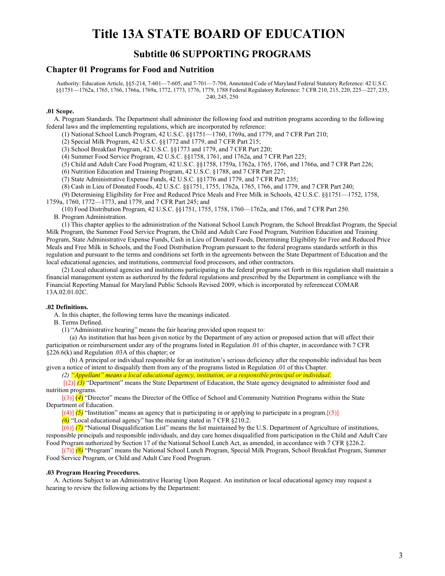# **Title 13A STATE BOARD OF EDUCATION**

## **Subtitle 06 SUPPORTING PROGRAMS**

### **Chapter 01 Programs for Food and Nutrition**

Authority: Education Article, §§5-214, 7-601—7-605, and 7-701—7-704, Annotated Code of Maryland Federal Statutory Reference: 42 U.S.C. §§1751—1762a, 1765, 1766, 1766a, 1769a, 1772, 1773, 1776, 1779, 1788 Federal Regulatory Reference: 7 CFR 210, 215, 220, 225—227, 235, 240, 245, 250

### **.01 Scope.**

A. Program Standards. The Department shall administer the following food and nutrition programs according to the following federal laws and the implementing regulations, which are incorporated by reference:

- (1) National School Lunch Program, 42 U.S.C. §§1751—1760, 1769a, and 1779, and 7 CFR Part 210;
- (2) Special Milk Program, 42 U.S.C. §§1772 and 1779, and 7 CFR Part 215;
- (3) School Breakfast Program, 42 U.S.C. §§1773 and 1779, and 7 CFR Part 220;
- (4) Summer Food Service Program, 42 U.S.C. §§1758, 1761, and 1762a, and 7 CFR Part 225;
- (5) Child and Adult Care Food Program, 42 U.S.C. §§1758, 1759a, 1762a, 1765, 1766, and 1766a, and 7 CFR Part 226;
- (6) Nutrition Education and Training Program, 42 U.S.C. §1788, and 7 CFR Part 227;
- (7) State Administrative Expense Funds, 42 U.S.C. §§1776 and 1779, and 7 CFR Part 235;
- (8) Cash in Lieu of Donated Foods, 42 U.S.C. §§1751, 1755, 1762a, 1765, 1766, and 1779, and 7 CFR Part 240;
- (9) Determining Eligibility for Free and Reduced Price Meals and Free Milk in Schools, 42 U.S.C. §§1751—1752, 1758,
- 1759a, 1760, 1772—1773, and 1779, and 7 CFR Part 245; and

(10) Food Distribution Program, 42 U.S.C. §§1751, 1755, 1758, 1760—1762a, and 1766, and 7 CFR Part 250. B. Program Administration.

(1) This chapter applies to the administration of the National School Lunch Program, the School Breakfast Program, the Special Milk Program, the Summer Food Service Program, the Child and Adult Care Food Program, Nutrition Education and Training Program, State Administrative Expense Funds, Cash in Lieu of Donated Foods, Determining Eligibility for Free and Reduced Price Meals and Free Milk in Schools, and the Food Distribution Program pursuant to the federal programs standards setforth in this regulation and pursuant to the terms and conditions set forth in the agreements between the State Department of Education and the local educational agencies, and institutions, commercial food processors, and other contractors.

(2) Local educational agencies and institutions participating in the federal programs set forth in this regulation shall maintain a financial management system as authorized by the federal regulations and prescribed by the Department in compliance with the Financial Reporting Manual for Maryland Public Schools Revised 2009, which is incorporated by referenceat COMAR 13A.02.01.02C.

### **.02 Definitions.**

A. In this chapter, the following terms have the meanings indicated.

B. Terms Defined.

(1) "Administrative hearing" means the fair hearing provided upon request to:

(a) An institution that has been given notice by the Department of any action or proposed action that will affect their participation or reimbursement under any of the programs listed in Regulation .01 of this chapter, in accordance with 7 CFR §226.6(k) and Regulation .03A of this chapter; or

(b) A principal or individual responsible for an institution's serious deficiency after the responsible individual has been given a notice of intent to disqualify them from any of the programs listed in Regulation .01 of this Chapter.

*(2) "Appellant" means a local educational agency, institution, or a responsible principal or individual.*

[(2)] *(3)* "Department" means the State Department of Education, the State agency designated to administer food and nutrition programs.

[(3)] (*4*) "Director" means the Director of the Office of School and Community Nutrition Programs within the State Department of Education.

 $[(4)]$  *(5)* "Institution" means an agency that is participating in or applying to participate in a program.[(5)]

*(6)* "Local educational agency" has the meaning stated in 7 CFR §210.2.

[(6)] *(7)* "National Disqualification List" means the list maintained by the U.S. Department of Agriculture of institutions, responsible principals and responsible individuals, and day care homes disqualified from participation in the Child and Adult Care Food Program authorized by Section 17 of the National School Lunch Act, as amended, in accordance with 7 CFR §226.2.

[(7)] *(8)* "Program" means the National School Lunch Program, Special Milk Program, School Breakfast Program, Summer Food Service Program, or Child and Adult Care Food Program.

#### **.03 Program Hearing Procedures.**

A. Actions Subject to an Administrative Hearing Upon Request. An institution or local educational agency may request a hearing to review the following actions by the Department: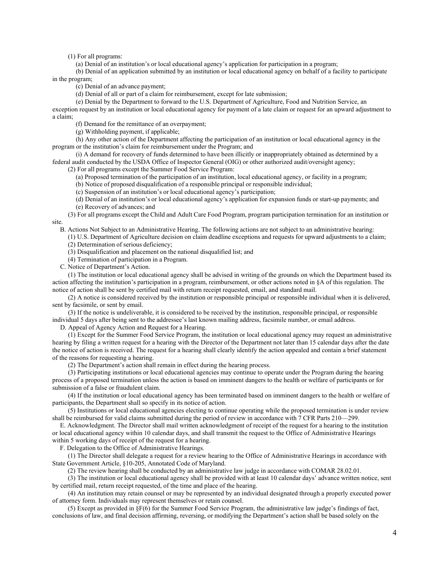(1) For all programs:

(a) Denial of an institution's or local educational agency's application for participation in a program;

(b) Denial of an application submitted by an institution or local educational agency on behalf of a facility to participate in the program;

(c) Denial of an advance payment;

(d) Denial of all or part of a claim for reimbursement, except for late submission;

(e) Denial by the Department to forward to the U.S. Department of Agriculture, Food and Nutrition Service, an

exception request by an institution or local educational agency for payment of a late claim or request for an upward adjustment to a claim;

(f) Demand for the remittance of an overpayment;

(g) Withholding payment, if applicable;

(h) Any other action of the Department affecting the participation of an institution or local educational agency in the program or the institution's claim for reimbursement under the Program; and

(i) A demand for recovery of funds determined to have been illicitly or inappropriately obtained as determined by a federal audit conducted by the USDA Office of Inspector General (OIG) or other authorized audit/oversight agency;

(2) For all programs except the Summer Food Service Program:

(a) Proposed termination of the participation of an institution, local educational agency, or facility in a program;

(b) Notice of proposed disqualification of a responsible principal or responsible individual;

(c) Suspension of an institution's or local educational agency's participation;

(d) Denial of an institution's or local educational agency's application for expansion funds or start-up payments; and (e) Recovery of advances; and

(3) For all programs except the Child and Adult Care Food Program, program participation termination for an institution or site.

B. Actions Not Subject to an Administrative Hearing. The following actions are not subject to an administrative hearing:

(1) U.S. Department of Agriculture decision on claim deadline exceptions and requests for upward adjustments to a claim; (2) Determination of serious deficiency;

(3) Disqualification and placement on the national disqualified list; and

(4) Termination of participation in a Program.

C. Notice of Department's Action.

(1) The institution or local educational agency shall be advised in writing of the grounds on which the Department based its action affecting the institution's participation in a program, reimbursement, or other actions noted in §A of this regulation. The notice of action shall be sent by certified mail with return receipt requested, email, and standard mail.

(2) A notice is considered received by the institution or responsible principal or responsible individual when it is delivered, sent by facsimile, or sent by email.

(3) If the notice is undeliverable, it is considered to be received by the institution, responsible principal, or responsible individual 5 days after being sent to the addressee's last known mailing address, facsimile number, or email address.

D. Appeal of Agency Action and Request for a Hearing.

(1) Except for the Summer Food Service Program, the institution or local educational agency may request an administrative hearing by filing a written request for a hearing with the Director of the Department not later than 15 calendar days after the date the notice of action is received. The request for a hearing shall clearly identify the action appealed and contain a brief statement of the reasons for requesting a hearing.

(2) The Department's action shall remain in effect during the hearing process.

(3) Participating institutions or local educational agencies may continue to operate under the Program during the hearing process of a proposed termination unless the action is based on imminent dangers to the health or welfare of participants or for submission of a false or fraudulent claim.

(4) If the institution or local educational agency has been terminated based on imminent dangers to the health or welfare of participants, the Department shall so specify in its notice of action.

(5) Institutions or local educational agencies electing to continue operating while the proposed termination is under review shall be reimbursed for valid claims submitted during the period of review in accordance with 7 CFR Parts 210—299.

E. Acknowledgment. The Director shall mail written acknowledgment of receipt of the request for a hearing to the institution or local educational agency within 10 calendar days, and shall transmit the request to the Office of Administrative Hearings within 5 working days of receipt of the request for a hearing.

F. Delegation to the Office of Administrative Hearings.

(1) The Director shall delegate a request for a review hearing to the Office of Administrative Hearings in accordance with State Government Article, §10-205, Annotated Code of Maryland.

(2) The review hearing shall be conducted by an administrative law judge in accordance with COMAR [28.02.01.](https://28.2.0.1/)

(3) The institution or local educational agency shall be provided with at least 10 calendar days' advance written notice, sent by certified mail, return receipt requested, of the time and place of the hearing.

(4) An institution may retain counsel or may be represented by an individual designated through a properly executed power of attorney form. Individuals may represent themselves or retain counsel.

(5) Except as provided in §F(6) for the Summer Food Service Program, the administrative law judge's findings of fact, conclusions of law, and final decision affirming, reversing, or modifying the Department's action shall be based solely on the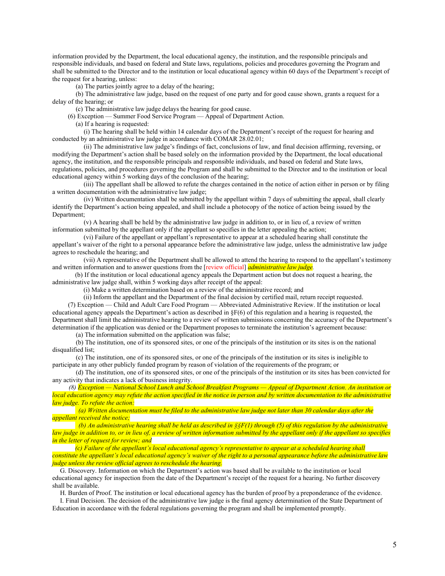information provided by the Department, the local educational agency, the institution, and the responsible principals and responsible individuals, and based on federal and State laws, regulations, policies and procedures governing the Program and shall be submitted to the Director and to the institution or local educational agency within 60 days of the Department's receipt of the request for a hearing, unless:

(a) The parties jointly agree to a delay of the hearing;

(b) The administrative law judge, based on the request of one party and for good cause shown, grants a request for a delay of the hearing; or

(c) The administrative law judge delays the hearing for good cause.

(6) Exception — Summer Food Service Program — Appeal of Department Action.

(a) If a hearing is requested:

(i) The hearing shall be held within 14 calendar days of the Department's receipt of the request for hearing and conducted by an administrative law judge in accordance with COMAR [28.02.01;](https://28.2.0.1/)

(ii) The administrative law judge's findings of fact, conclusions of law, and final decision affirming, reversing, or modifying the Department's action shall be based solely on the information provided by the Department, the local educational agency, the institution, and the responsible principals and responsible individuals, and based on federal and State laws, regulations, policies, and procedures governing the Program and shall be submitted to the Director and to the institution or local educational agency within 5 working days of the conclusion of the hearing;

(iii) The appellant shall be allowed to refute the charges contained in the notice of action either in person or by filing a written documentation with the administrative law judge;

(iv) Written documentation shall be submitted by the appellant within 7 days of submitting the appeal, shall clearly identify the Department's action being appealed, and shall include a photocopy of the notice of action being issued by the Department;

(v) A hearing shall be held by the administrative law judge in addition to, or in lieu of, a review of written information submitted by the appellant only if the appellant so specifies in the letter appealing the action;

(vi) Failure of the appellant or appellant's representative to appear at a scheduled hearing shall constitute the appellant's waiver of the right to a personal appearance before the administrative law judge, unless the administrative law judge agrees to reschedule the hearing; and

(vii) A representative of the Department shall be allowed to attend the hearing to respond to the appellant's testimony and written information and to answer questions from the [review official] *administrative law judge.*

(b) If the institution or local educational agency appeals the Department action but does not request a hearing, the administrative law judge shall, within 5 working days after receipt of the appeal:

(i) Make a written determination based on a review of the administrative record; and

(ii) Inform the appellant and the Department of the final decision by certified mail, return receipt requested.

(7) Exception — Child and Adult Care Food Program — Abbreviated Administrative Review. If the institution or local educational agency appeals the Department's action as described in  $\S F(6)$  of this regulation and a hearing is requested, the Department shall limit the administrative hearing to a review of written submissions concerning the accuracy of the Department's determination if the application was denied or the Department proposes to terminate the institution's agreement because:

(a) The information submitted on the application was false;

(b) The institution, one of its sponsored sites, or one of the principals of the institution or its sites is on the national disqualified list:

(c) The institution, one of its sponsored sites, or one of the principals of the institution or its sites is ineligible to participate in any other publicly funded program by reason of violation of the requirements of the program; or

(d) The institution, one of its sponsored sites, or one of the principals of the institution or its sites has been convicted for any activity that indicates a lack of business integrity.

*(8) Exception — National School Lunch and School Breakfast Programs — Appeal of Department Action. An institution or local education agency may refute the action specified in the notice in person and by written documentation to the administrative law judge. To refute the action:*

*(a) Written documentation must be filed to the administrative law judge not later than 30 calendar days after the appellant received the notice;*

*(b) An administrative hearing shall be held as described in §§F(1) through (5) of this regulation by the administrative law judge in addition to, or in lieu of, a review of written information submitted by the appellant only if the appellant so specifies in the letter of request for review; and*

*(c) Failure of the appellant's local educational agency's representative to appear at a scheduled hearing shall constitute the appellant's local educational agency's waiver of the right to a personal appearance before the administrative law judge unless the review official agrees to reschedule the hearing.*

G. Discovery. Information on which the Department's action was based shall be available to the institution or local educational agency for inspection from the date of the Department's receipt of the request for a hearing. No further discovery shall be available.

H. Burden of Proof. The institution or local educational agency has the burden of proof by a preponderance of the evidence.

I. Final Decision. The decision of the administrative law judge is the final agency determination of the State Department of Education in accordance with the federal regulations governing the program and shall be implemented promptly.